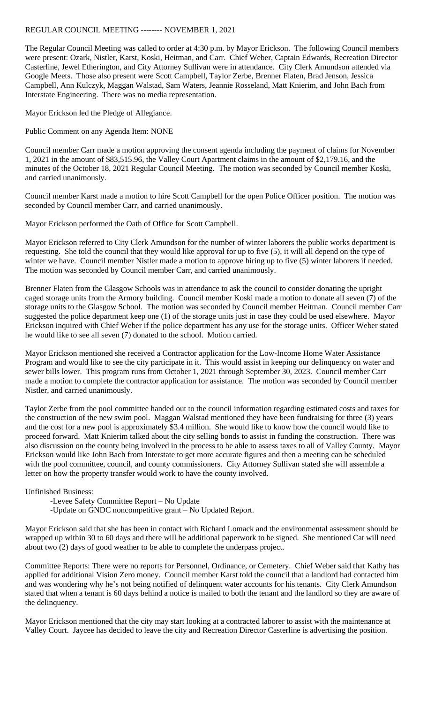## REGULAR COUNCIL MEETING -------- NOVEMBER 1, 2021

The Regular Council Meeting was called to order at 4:30 p.m. by Mayor Erickson. The following Council members were present: Ozark, Nistler, Karst, Koski, Heitman, and Carr. Chief Weber, Captain Edwards, Recreation Director Casterline, Jewel Etherington, and City Attorney Sullivan were in attendance. City Clerk Amundson attended via Google Meets. Those also present were Scott Campbell, Taylor Zerbe, Brenner Flaten, Brad Jenson, Jessica Campbell, Ann Kulczyk, Maggan Walstad, Sam Waters, Jeannie Rosseland, Matt Knierim, and John Bach from Interstate Engineering. There was no media representation.

Mayor Erickson led the Pledge of Allegiance.

Public Comment on any Agenda Item: NONE

Council member Carr made a motion approving the consent agenda including the payment of claims for November 1, 2021 in the amount of \$83,515.96, the Valley Court Apartment claims in the amount of \$2,179.16, and the minutes of the October 18, 2021 Regular Council Meeting. The motion was seconded by Council member Koski, and carried unanimously.

Council member Karst made a motion to hire Scott Campbell for the open Police Officer position. The motion was seconded by Council member Carr, and carried unanimously.

Mayor Erickson performed the Oath of Office for Scott Campbell.

Mayor Erickson referred to City Clerk Amundson for the number of winter laborers the public works department is requesting. She told the council that they would like approval for up to five (5), it will all depend on the type of winter we have. Council member Nistler made a motion to approve hiring up to five (5) winter laborers if needed. The motion was seconded by Council member Carr, and carried unanimously.

Brenner Flaten from the Glasgow Schools was in attendance to ask the council to consider donating the upright caged storage units from the Armory building. Council member Koski made a motion to donate all seven (7) of the storage units to the Glasgow School. The motion was seconded by Council member Heitman. Council member Carr suggested the police department keep one (1) of the storage units just in case they could be used elsewhere. Mayor Erickson inquired with Chief Weber if the police department has any use for the storage units. Officer Weber stated he would like to see all seven (7) donated to the school. Motion carried.

Mayor Erickson mentioned she received a Contractor application for the Low-Income Home Water Assistance Program and would like to see the city participate in it. This would assist in keeping our delinquency on water and sewer bills lower. This program runs from October 1, 2021 through September 30, 2023. Council member Carr made a motion to complete the contractor application for assistance. The motion was seconded by Council member Nistler, and carried unanimously.

Taylor Zerbe from the pool committee handed out to the council information regarding estimated costs and taxes for the construction of the new swim pool. Maggan Walstad mentioned they have been fundraising for three (3) years and the cost for a new pool is approximately \$3.4 million. She would like to know how the council would like to proceed forward. Matt Knierim talked about the city selling bonds to assist in funding the construction. There was also discussion on the county being involved in the process to be able to assess taxes to all of Valley County. Mayor Erickson would like John Bach from Interstate to get more accurate figures and then a meeting can be scheduled with the pool committee, council, and county commissioners. City Attorney Sullivan stated she will assemble a letter on how the property transfer would work to have the county involved.

Unfinished Business:

- -Levee Safety Committee Report No Update
- -Update on GNDC noncompetitive grant No Updated Report.

Mayor Erickson said that she has been in contact with Richard Lomack and the environmental assessment should be wrapped up within 30 to 60 days and there will be additional paperwork to be signed. She mentioned Cat will need about two (2) days of good weather to be able to complete the underpass project.

Committee Reports: There were no reports for Personnel, Ordinance, or Cemetery. Chief Weber said that Kathy has applied for additional Vision Zero money. Council member Karst told the council that a landlord had contacted him and was wondering why he's not being notified of delinquent water accounts for his tenants. City Clerk Amundson stated that when a tenant is 60 days behind a notice is mailed to both the tenant and the landlord so they are aware of the delinquency.

Mayor Erickson mentioned that the city may start looking at a contracted laborer to assist with the maintenance at Valley Court. Jaycee has decided to leave the city and Recreation Director Casterline is advertising the position.